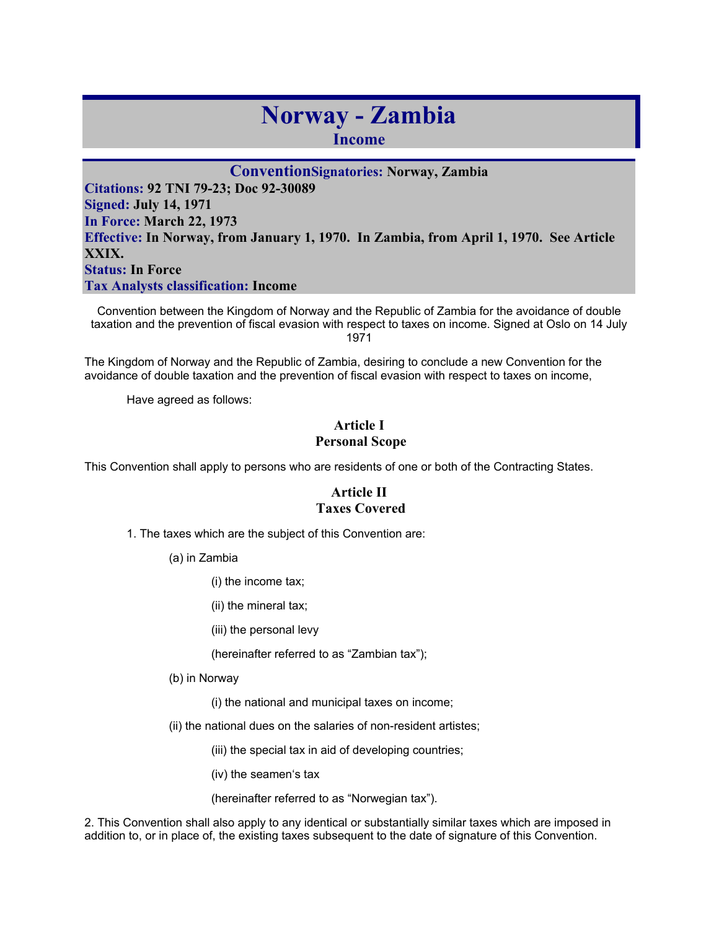# **Norway - Zambia Income**

**ConventionSignatories: Norway, Zambia Citations: 92 TNI 79-23; Doc 92-30089 Signed: July 14, 1971 In Force: March 22, 1973 Effective: In Norway, from January 1, 1970. In Zambia, from April 1, 1970. See Article XXIX. Status: In Force Tax Analysts classification: Income** 

Convention between the Kingdom of Norway and the Republic of Zambia for the avoidance of double taxation and the prevention of fiscal evasion with respect to taxes on income. Signed at Oslo on 14 July 1971

The Kingdom of Norway and the Republic of Zambia, desiring to conclude a new Convention for the avoidance of double taxation and the prevention of fiscal evasion with respect to taxes on income,

Have agreed as follows:

# **Article I Personal Scope**

This Convention shall apply to persons who are residents of one or both of the Contracting States.

## **Article II Taxes Covered**

1. The taxes which are the subject of this Convention are:

(a) in Zambia

(i) the income tax;

(ii) the mineral tax;

(iii) the personal levy

(hereinafter referred to as "Zambian tax");

(b) in Norway

(i) the national and municipal taxes on income;

(ii) the national dues on the salaries of non-resident artistes;

(iii) the special tax in aid of developing countries;

(iv) the seamen's tax

(hereinafter referred to as "Norwegian tax").

2. This Convention shall also apply to any identical or substantially similar taxes which are imposed in addition to, or in place of, the existing taxes subsequent to the date of signature of this Convention.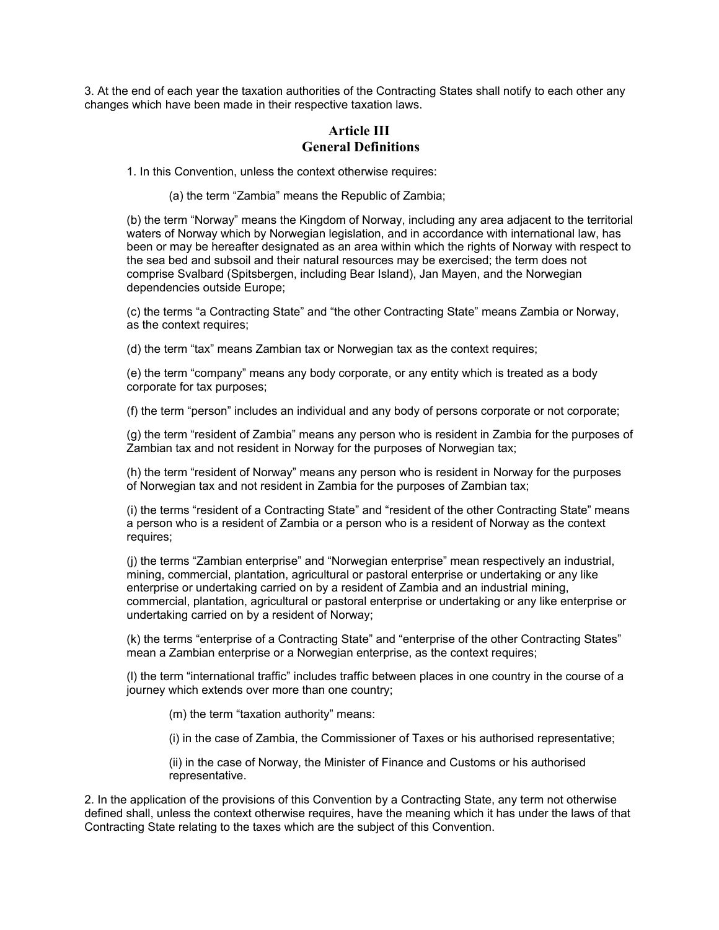3. At the end of each year the taxation authorities of the Contracting States shall notify to each other any changes which have been made in their respective taxation laws.

## **Article III General Definitions**

1. In this Convention, unless the context otherwise requires:

(a) the term "Zambia" means the Republic of Zambia;

(b) the term "Norway" means the Kingdom of Norway, including any area adjacent to the territorial waters of Norway which by Norwegian legislation, and in accordance with international law, has been or may be hereafter designated as an area within which the rights of Norway with respect to the sea bed and subsoil and their natural resources may be exercised; the term does not comprise Svalbard (Spitsbergen, including Bear Island), Jan Mayen, and the Norwegian dependencies outside Europe;

(c) the terms "a Contracting State" and "the other Contracting State" means Zambia or Norway, as the context requires;

(d) the term "tax" means Zambian tax or Norwegian tax as the context requires;

(e) the term "company" means any body corporate, or any entity which is treated as a body corporate for tax purposes;

(f) the term "person" includes an individual and any body of persons corporate or not corporate;

(g) the term "resident of Zambia" means any person who is resident in Zambia for the purposes of Zambian tax and not resident in Norway for the purposes of Norwegian tax;

(h) the term "resident of Norway" means any person who is resident in Norway for the purposes of Norwegian tax and not resident in Zambia for the purposes of Zambian tax;

(i) the terms "resident of a Contracting State" and "resident of the other Contracting State" means a person who is a resident of Zambia or a person who is a resident of Norway as the context requires;

(j) the terms "Zambian enterprise" and "Norwegian enterprise" mean respectively an industrial, mining, commercial, plantation, agricultural or pastoral enterprise or undertaking or any like enterprise or undertaking carried on by a resident of Zambia and an industrial mining, commercial, plantation, agricultural or pastoral enterprise or undertaking or any like enterprise or undertaking carried on by a resident of Norway;

(k) the terms "enterprise of a Contracting State" and "enterprise of the other Contracting States" mean a Zambian enterprise or a Norwegian enterprise, as the context requires;

(l) the term "international traffic" includes traffic between places in one country in the course of a journey which extends over more than one country;

(m) the term "taxation authority" means:

(i) in the case of Zambia, the Commissioner of Taxes or his authorised representative;

(ii) in the case of Norway, the Minister of Finance and Customs or his authorised representative.

2. In the application of the provisions of this Convention by a Contracting State, any term not otherwise defined shall, unless the context otherwise requires, have the meaning which it has under the laws of that Contracting State relating to the taxes which are the subject of this Convention.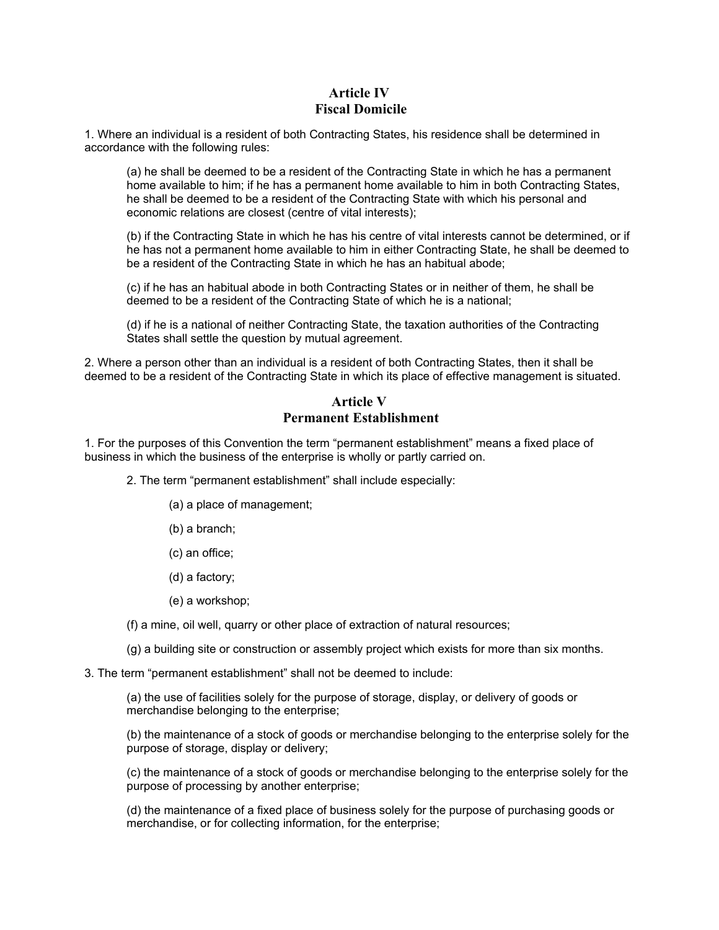## **Article IV Fiscal Domicile**

1. Where an individual is a resident of both Contracting States, his residence shall be determined in accordance with the following rules:

(a) he shall be deemed to be a resident of the Contracting State in which he has a permanent home available to him; if he has a permanent home available to him in both Contracting States, he shall be deemed to be a resident of the Contracting State with which his personal and economic relations are closest (centre of vital interests);

(b) if the Contracting State in which he has his centre of vital interests cannot be determined, or if he has not a permanent home available to him in either Contracting State, he shall be deemed to be a resident of the Contracting State in which he has an habitual abode;

(c) if he has an habitual abode in both Contracting States or in neither of them, he shall be deemed to be a resident of the Contracting State of which he is a national;

(d) if he is a national of neither Contracting State, the taxation authorities of the Contracting States shall settle the question by mutual agreement.

2. Where a person other than an individual is a resident of both Contracting States, then it shall be deemed to be a resident of the Contracting State in which its place of effective management is situated.

### **Article V Permanent Establishment**

1. For the purposes of this Convention the term "permanent establishment" means a fixed place of business in which the business of the enterprise is wholly or partly carried on.

- 2. The term "permanent establishment" shall include especially:
	- (a) a place of management;
	- (b) a branch;
	- (c) an office;
	- (d) a factory;
	- (e) a workshop;
- (f) a mine, oil well, quarry or other place of extraction of natural resources;
- (g) a building site or construction or assembly project which exists for more than six months.
- 3. The term "permanent establishment" shall not be deemed to include:

(a) the use of facilities solely for the purpose of storage, display, or delivery of goods or merchandise belonging to the enterprise;

(b) the maintenance of a stock of goods or merchandise belonging to the enterprise solely for the purpose of storage, display or delivery;

(c) the maintenance of a stock of goods or merchandise belonging to the enterprise solely for the purpose of processing by another enterprise;

(d) the maintenance of a fixed place of business solely for the purpose of purchasing goods or merchandise, or for collecting information, for the enterprise;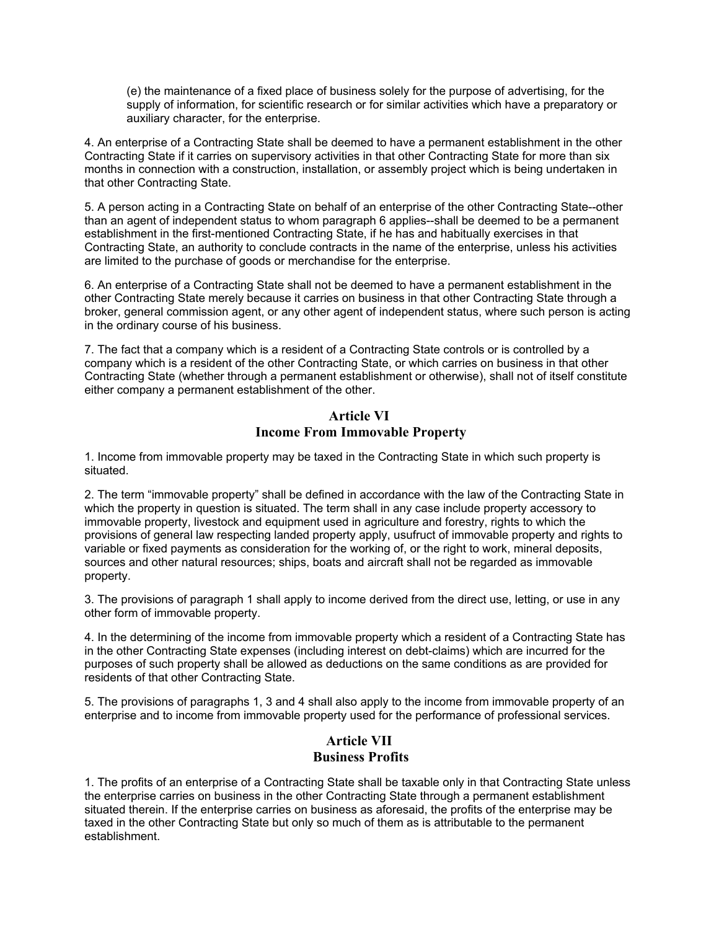(e) the maintenance of a fixed place of business solely for the purpose of advertising, for the supply of information, for scientific research or for similar activities which have a preparatory or auxiliary character, for the enterprise.

4. An enterprise of a Contracting State shall be deemed to have a permanent establishment in the other Contracting State if it carries on supervisory activities in that other Contracting State for more than six months in connection with a construction, installation, or assembly project which is being undertaken in that other Contracting State.

5. A person acting in a Contracting State on behalf of an enterprise of the other Contracting State--other than an agent of independent status to whom paragraph 6 applies--shall be deemed to be a permanent establishment in the first-mentioned Contracting State, if he has and habitually exercises in that Contracting State, an authority to conclude contracts in the name of the enterprise, unless his activities are limited to the purchase of goods or merchandise for the enterprise.

6. An enterprise of a Contracting State shall not be deemed to have a permanent establishment in the other Contracting State merely because it carries on business in that other Contracting State through a broker, general commission agent, or any other agent of independent status, where such person is acting in the ordinary course of his business.

7. The fact that a company which is a resident of a Contracting State controls or is controlled by a company which is a resident of the other Contracting State, or which carries on business in that other Contracting State (whether through a permanent establishment or otherwise), shall not of itself constitute either company a permanent establishment of the other.

# **Article VI Income From Immovable Property**

1. Income from immovable property may be taxed in the Contracting State in which such property is situated.

2. The term "immovable property" shall be defined in accordance with the law of the Contracting State in which the property in question is situated. The term shall in any case include property accessory to immovable property, livestock and equipment used in agriculture and forestry, rights to which the provisions of general law respecting landed property apply, usufruct of immovable property and rights to variable or fixed payments as consideration for the working of, or the right to work, mineral deposits, sources and other natural resources; ships, boats and aircraft shall not be regarded as immovable property.

3. The provisions of paragraph 1 shall apply to income derived from the direct use, letting, or use in any other form of immovable property.

4. In the determining of the income from immovable property which a resident of a Contracting State has in the other Contracting State expenses (including interest on debt-claims) which are incurred for the purposes of such property shall be allowed as deductions on the same conditions as are provided for residents of that other Contracting State.

5. The provisions of paragraphs 1, 3 and 4 shall also apply to the income from immovable property of an enterprise and to income from immovable property used for the performance of professional services.

## **Article VII Business Profits**

1. The profits of an enterprise of a Contracting State shall be taxable only in that Contracting State unless the enterprise carries on business in the other Contracting State through a permanent establishment situated therein. If the enterprise carries on business as aforesaid, the profits of the enterprise may be taxed in the other Contracting State but only so much of them as is attributable to the permanent establishment.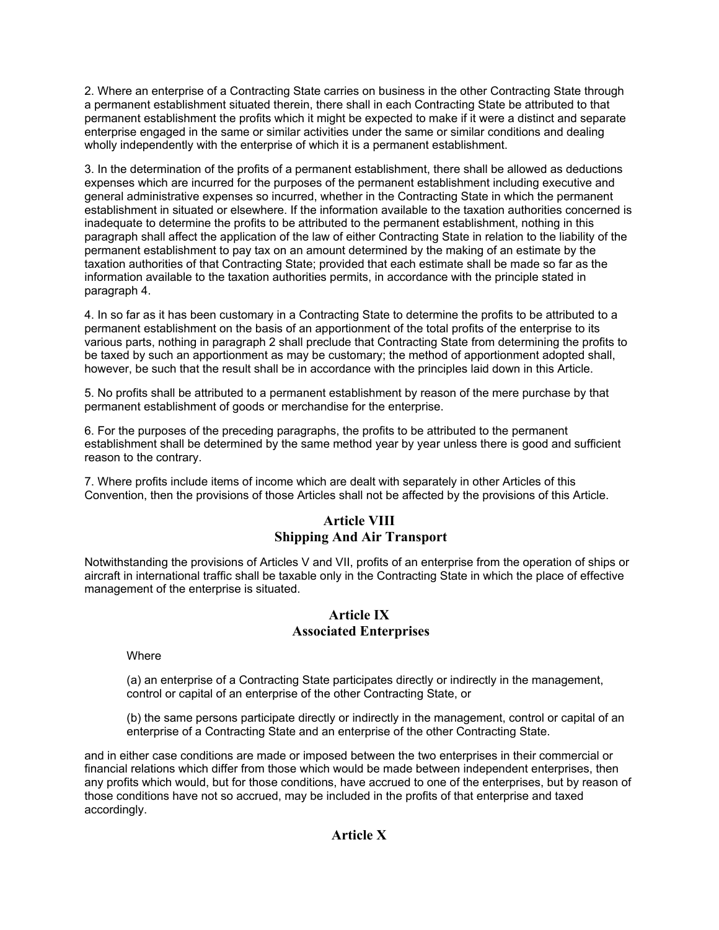2. Where an enterprise of a Contracting State carries on business in the other Contracting State through a permanent establishment situated therein, there shall in each Contracting State be attributed to that permanent establishment the profits which it might be expected to make if it were a distinct and separate enterprise engaged in the same or similar activities under the same or similar conditions and dealing wholly independently with the enterprise of which it is a permanent establishment.

3. In the determination of the profits of a permanent establishment, there shall be allowed as deductions expenses which are incurred for the purposes of the permanent establishment including executive and general administrative expenses so incurred, whether in the Contracting State in which the permanent establishment in situated or elsewhere. If the information available to the taxation authorities concerned is inadequate to determine the profits to be attributed to the permanent establishment, nothing in this paragraph shall affect the application of the law of either Contracting State in relation to the liability of the permanent establishment to pay tax on an amount determined by the making of an estimate by the taxation authorities of that Contracting State; provided that each estimate shall be made so far as the information available to the taxation authorities permits, in accordance with the principle stated in paragraph 4.

4. In so far as it has been customary in a Contracting State to determine the profits to be attributed to a permanent establishment on the basis of an apportionment of the total profits of the enterprise to its various parts, nothing in paragraph 2 shall preclude that Contracting State from determining the profits to be taxed by such an apportionment as may be customary; the method of apportionment adopted shall, however, be such that the result shall be in accordance with the principles laid down in this Article.

5. No profits shall be attributed to a permanent establishment by reason of the mere purchase by that permanent establishment of goods or merchandise for the enterprise.

6. For the purposes of the preceding paragraphs, the profits to be attributed to the permanent establishment shall be determined by the same method year by year unless there is good and sufficient reason to the contrary.

7. Where profits include items of income which are dealt with separately in other Articles of this Convention, then the provisions of those Articles shall not be affected by the provisions of this Article.

## **Article VIII Shipping And Air Transport**

Notwithstanding the provisions of Articles V and VII, profits of an enterprise from the operation of ships or aircraft in international traffic shall be taxable only in the Contracting State in which the place of effective management of the enterprise is situated.

### **Article IX Associated Enterprises**

Where

(a) an enterprise of a Contracting State participates directly or indirectly in the management, control or capital of an enterprise of the other Contracting State, or

(b) the same persons participate directly or indirectly in the management, control or capital of an enterprise of a Contracting State and an enterprise of the other Contracting State.

and in either case conditions are made or imposed between the two enterprises in their commercial or financial relations which differ from those which would be made between independent enterprises, then any profits which would, but for those conditions, have accrued to one of the enterprises, but by reason of those conditions have not so accrued, may be included in the profits of that enterprise and taxed accordingly.

## **Article X**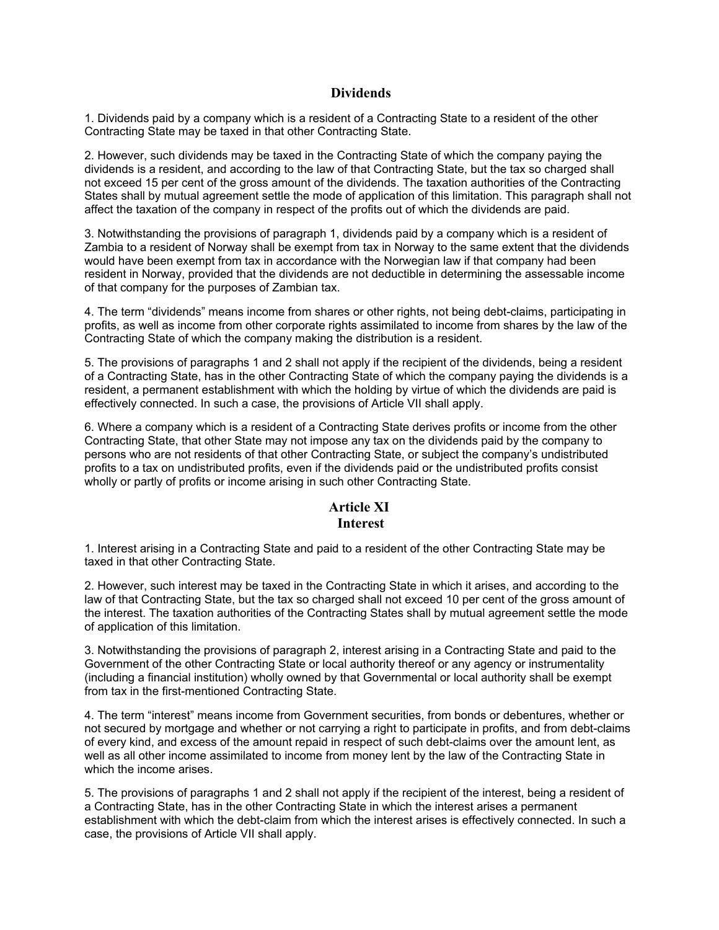#### **Dividends**

1. Dividends paid by a company which is a resident of a Contracting State to a resident of the other Contracting State may be taxed in that other Contracting State.

2. However, such dividends may be taxed in the Contracting State of which the company paying the dividends is a resident, and according to the law of that Contracting State, but the tax so charged shall not exceed 15 per cent of the gross amount of the dividends. The taxation authorities of the Contracting States shall by mutual agreement settle the mode of application of this limitation. This paragraph shall not affect the taxation of the company in respect of the profits out of which the dividends are paid.

3. Notwithstanding the provisions of paragraph 1, dividends paid by a company which is a resident of Zambia to a resident of Norway shall be exempt from tax in Norway to the same extent that the dividends would have been exempt from tax in accordance with the Norwegian law if that company had been resident in Norway, provided that the dividends are not deductible in determining the assessable income of that company for the purposes of Zambian tax.

4. The term "dividends" means income from shares or other rights, not being debt-claims, participating in profits, as well as income from other corporate rights assimilated to income from shares by the law of the Contracting State of which the company making the distribution is a resident.

5. The provisions of paragraphs 1 and 2 shall not apply if the recipient of the dividends, being a resident of a Contracting State, has in the other Contracting State of which the company paying the dividends is a resident, a permanent establishment with which the holding by virtue of which the dividends are paid is effectively connected. In such a case, the provisions of Article VII shall apply.

6. Where a company which is a resident of a Contracting State derives profits or income from the other Contracting State, that other State may not impose any tax on the dividends paid by the company to persons who are not residents of that other Contracting State, or subject the company's undistributed profits to a tax on undistributed profits, even if the dividends paid or the undistributed profits consist wholly or partly of profits or income arising in such other Contracting State.

## **Article XI Interest**

1. Interest arising in a Contracting State and paid to a resident of the other Contracting State may be taxed in that other Contracting State.

2. However, such interest may be taxed in the Contracting State in which it arises, and according to the law of that Contracting State, but the tax so charged shall not exceed 10 per cent of the gross amount of the interest. The taxation authorities of the Contracting States shall by mutual agreement settle the mode of application of this limitation.

3. Notwithstanding the provisions of paragraph 2, interest arising in a Contracting State and paid to the Government of the other Contracting State or local authority thereof or any agency or instrumentality (including a financial institution) wholly owned by that Governmental or local authority shall be exempt from tax in the first-mentioned Contracting State.

4. The term "interest" means income from Government securities, from bonds or debentures, whether or not secured by mortgage and whether or not carrying a right to participate in profits, and from debt-claims of every kind, and excess of the amount repaid in respect of such debt-claims over the amount lent, as well as all other income assimilated to income from money lent by the law of the Contracting State in which the income arises.

5. The provisions of paragraphs 1 and 2 shall not apply if the recipient of the interest, being a resident of a Contracting State, has in the other Contracting State in which the interest arises a permanent establishment with which the debt-claim from which the interest arises is effectively connected. In such a case, the provisions of Article VII shall apply.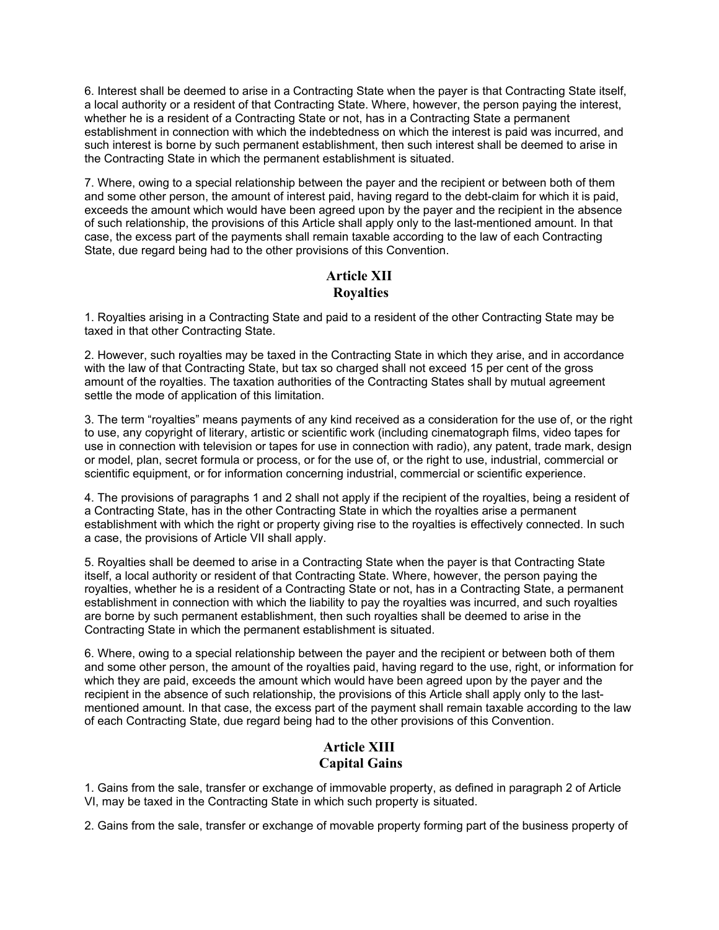6. Interest shall be deemed to arise in a Contracting State when the payer is that Contracting State itself, a local authority or a resident of that Contracting State. Where, however, the person paying the interest, whether he is a resident of a Contracting State or not, has in a Contracting State a permanent establishment in connection with which the indebtedness on which the interest is paid was incurred, and such interest is borne by such permanent establishment, then such interest shall be deemed to arise in the Contracting State in which the permanent establishment is situated.

7. Where, owing to a special relationship between the payer and the recipient or between both of them and some other person, the amount of interest paid, having regard to the debt-claim for which it is paid, exceeds the amount which would have been agreed upon by the payer and the recipient in the absence of such relationship, the provisions of this Article shall apply only to the last-mentioned amount. In that case, the excess part of the payments shall remain taxable according to the law of each Contracting State, due regard being had to the other provisions of this Convention.

# **Article XII Royalties**

1. Royalties arising in a Contracting State and paid to a resident of the other Contracting State may be taxed in that other Contracting State.

2. However, such royalties may be taxed in the Contracting State in which they arise, and in accordance with the law of that Contracting State, but tax so charged shall not exceed 15 per cent of the gross amount of the royalties. The taxation authorities of the Contracting States shall by mutual agreement settle the mode of application of this limitation.

3. The term "royalties" means payments of any kind received as a consideration for the use of, or the right to use, any copyright of literary, artistic or scientific work (including cinematograph films, video tapes for use in connection with television or tapes for use in connection with radio), any patent, trade mark, design or model, plan, secret formula or process, or for the use of, or the right to use, industrial, commercial or scientific equipment, or for information concerning industrial, commercial or scientific experience.

4. The provisions of paragraphs 1 and 2 shall not apply if the recipient of the royalties, being a resident of a Contracting State, has in the other Contracting State in which the royalties arise a permanent establishment with which the right or property giving rise to the royalties is effectively connected. In such a case, the provisions of Article VII shall apply.

5. Royalties shall be deemed to arise in a Contracting State when the payer is that Contracting State itself, a local authority or resident of that Contracting State. Where, however, the person paying the royalties, whether he is a resident of a Contracting State or not, has in a Contracting State, a permanent establishment in connection with which the liability to pay the royalties was incurred, and such royalties are borne by such permanent establishment, then such royalties shall be deemed to arise in the Contracting State in which the permanent establishment is situated.

6. Where, owing to a special relationship between the payer and the recipient or between both of them and some other person, the amount of the royalties paid, having regard to the use, right, or information for which they are paid, exceeds the amount which would have been agreed upon by the payer and the recipient in the absence of such relationship, the provisions of this Article shall apply only to the lastmentioned amount. In that case, the excess part of the payment shall remain taxable according to the law of each Contracting State, due regard being had to the other provisions of this Convention.

# **Article XIII Capital Gains**

1. Gains from the sale, transfer or exchange of immovable property, as defined in paragraph 2 of Article VI, may be taxed in the Contracting State in which such property is situated.

2. Gains from the sale, transfer or exchange of movable property forming part of the business property of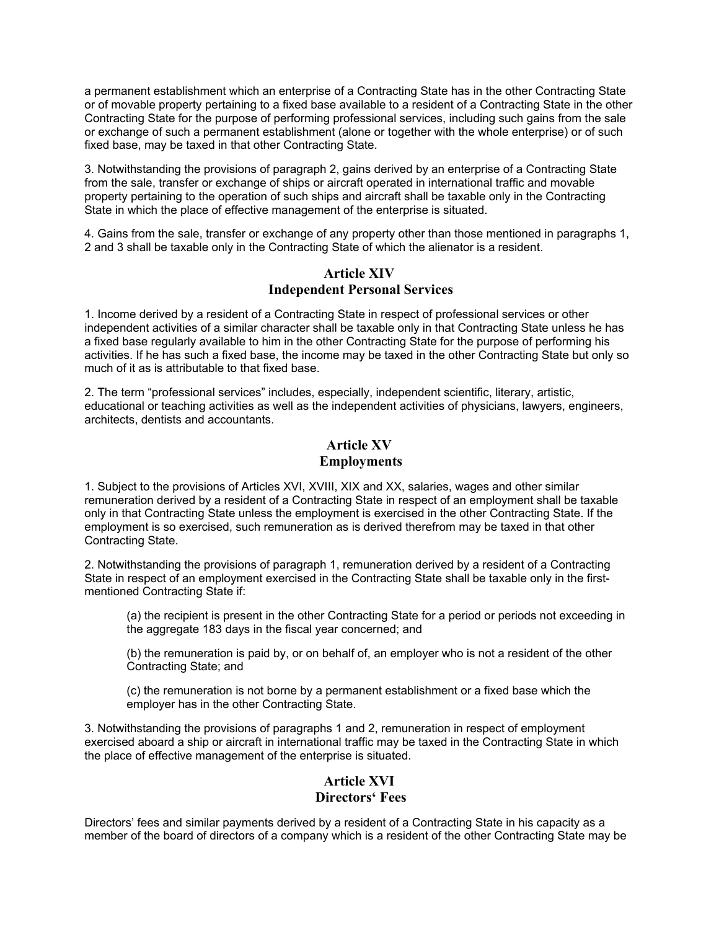a permanent establishment which an enterprise of a Contracting State has in the other Contracting State or of movable property pertaining to a fixed base available to a resident of a Contracting State in the other Contracting State for the purpose of performing professional services, including such gains from the sale or exchange of such a permanent establishment (alone or together with the whole enterprise) or of such fixed base, may be taxed in that other Contracting State.

3. Notwithstanding the provisions of paragraph 2, gains derived by an enterprise of a Contracting State from the sale, transfer or exchange of ships or aircraft operated in international traffic and movable property pertaining to the operation of such ships and aircraft shall be taxable only in the Contracting State in which the place of effective management of the enterprise is situated.

4. Gains from the sale, transfer or exchange of any property other than those mentioned in paragraphs 1, 2 and 3 shall be taxable only in the Contracting State of which the alienator is a resident.

### **Article XIV Independent Personal Services**

1. Income derived by a resident of a Contracting State in respect of professional services or other independent activities of a similar character shall be taxable only in that Contracting State unless he has a fixed base regularly available to him in the other Contracting State for the purpose of performing his activities. If he has such a fixed base, the income may be taxed in the other Contracting State but only so much of it as is attributable to that fixed base.

2. The term "professional services" includes, especially, independent scientific, literary, artistic, educational or teaching activities as well as the independent activities of physicians, lawyers, engineers, architects, dentists and accountants.

# **Article XV Employments**

1. Subject to the provisions of Articles XVI, XVIII, XIX and XX, salaries, wages and other similar remuneration derived by a resident of a Contracting State in respect of an employment shall be taxable only in that Contracting State unless the employment is exercised in the other Contracting State. If the employment is so exercised, such remuneration as is derived therefrom may be taxed in that other Contracting State.

2. Notwithstanding the provisions of paragraph 1, remuneration derived by a resident of a Contracting State in respect of an employment exercised in the Contracting State shall be taxable only in the firstmentioned Contracting State if:

(a) the recipient is present in the other Contracting State for a period or periods not exceeding in the aggregate 183 days in the fiscal year concerned; and

(b) the remuneration is paid by, or on behalf of, an employer who is not a resident of the other Contracting State; and

(c) the remuneration is not borne by a permanent establishment or a fixed base which the employer has in the other Contracting State.

3. Notwithstanding the provisions of paragraphs 1 and 2, remuneration in respect of employment exercised aboard a ship or aircraft in international traffic may be taxed in the Contracting State in which the place of effective management of the enterprise is situated.

# **Article XVI**

## **Directors' Fees**

Directors' fees and similar payments derived by a resident of a Contracting State in his capacity as a member of the board of directors of a company which is a resident of the other Contracting State may be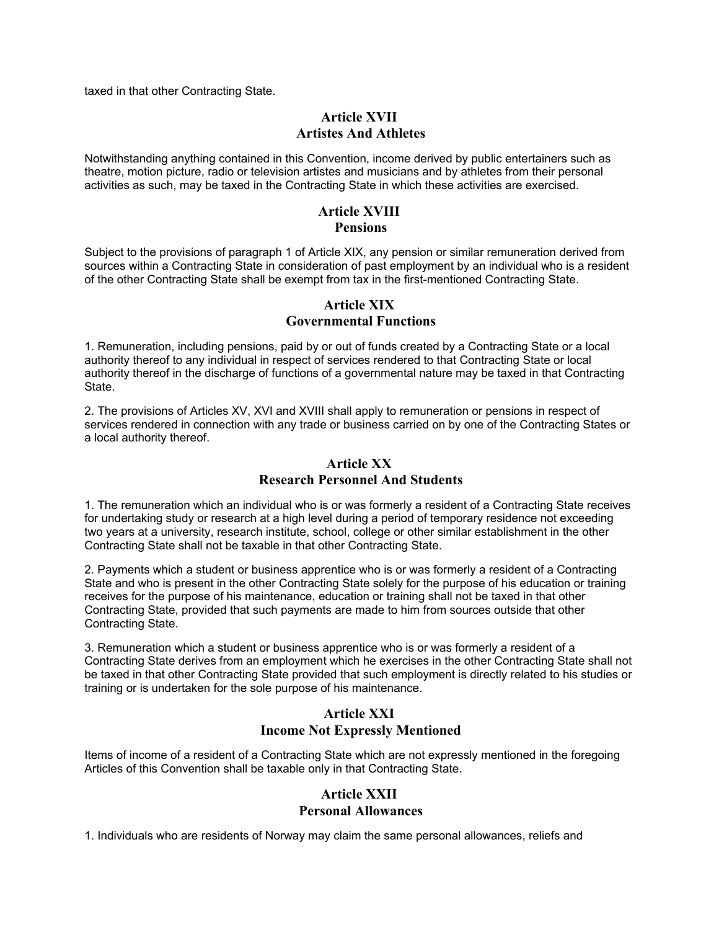taxed in that other Contracting State.

# **Article XVII Artistes And Athletes**

Notwithstanding anything contained in this Convention, income derived by public entertainers such as theatre, motion picture, radio or television artistes and musicians and by athletes from their personal activities as such, may be taxed in the Contracting State in which these activities are exercised.

#### **Article XVIII Pensions**

Subject to the provisions of paragraph 1 of Article XIX, any pension or similar remuneration derived from sources within a Contracting State in consideration of past employment by an individual who is a resident of the other Contracting State shall be exempt from tax in the first-mentioned Contracting State.

## **Article XIX Governmental Functions**

1. Remuneration, including pensions, paid by or out of funds created by a Contracting State or a local authority thereof to any individual in respect of services rendered to that Contracting State or local authority thereof in the discharge of functions of a governmental nature may be taxed in that Contracting State.

2. The provisions of Articles XV, XVI and XVIII shall apply to remuneration or pensions in respect of services rendered in connection with any trade or business carried on by one of the Contracting States or a local authority thereof.

## **Article XX Research Personnel And Students**

1. The remuneration which an individual who is or was formerly a resident of a Contracting State receives for undertaking study or research at a high level during a period of temporary residence not exceeding two years at a university, research institute, school, college or other similar establishment in the other Contracting State shall not be taxable in that other Contracting State.

2. Payments which a student or business apprentice who is or was formerly a resident of a Contracting State and who is present in the other Contracting State solely for the purpose of his education or training receives for the purpose of his maintenance, education or training shall not be taxed in that other Contracting State, provided that such payments are made to him from sources outside that other Contracting State.

3. Remuneration which a student or business apprentice who is or was formerly a resident of a Contracting State derives from an employment which he exercises in the other Contracting State shall not be taxed in that other Contracting State provided that such employment is directly related to his studies or training or is undertaken for the sole purpose of his maintenance.

# **Article XXI Income Not Expressly Mentioned**

Items of income of a resident of a Contracting State which are not expressly mentioned in the foregoing Articles of this Convention shall be taxable only in that Contracting State.

### **Article XXII Personal Allowances**

1. Individuals who are residents of Norway may claim the same personal allowances, reliefs and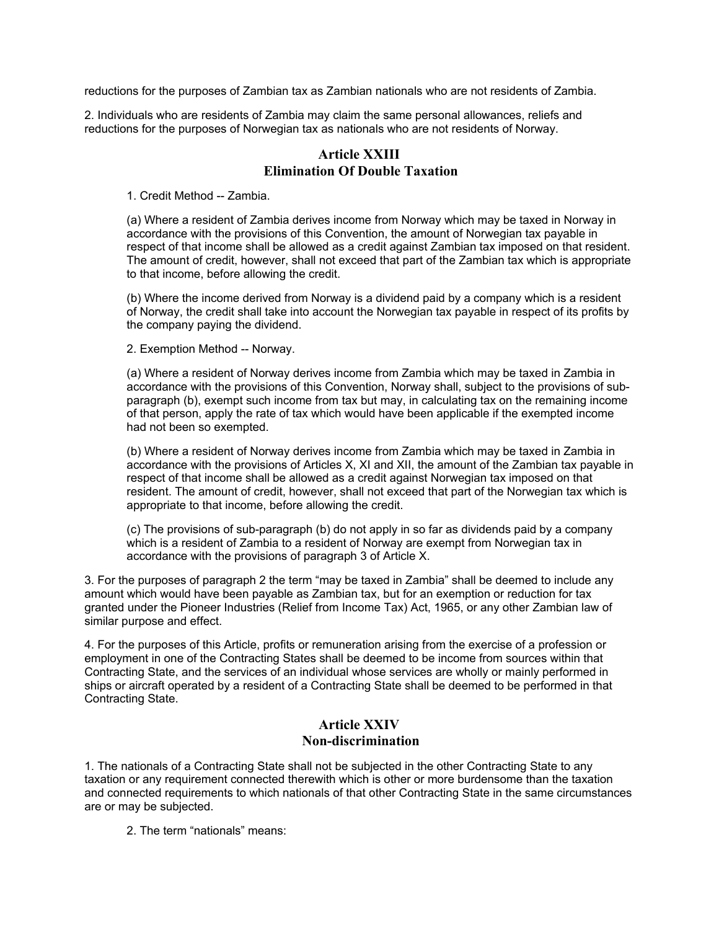reductions for the purposes of Zambian tax as Zambian nationals who are not residents of Zambia.

2. Individuals who are residents of Zambia may claim the same personal allowances, reliefs and reductions for the purposes of Norwegian tax as nationals who are not residents of Norway.

### **Article XXIII Elimination Of Double Taxation**

1. Credit Method -- Zambia.

(a) Where a resident of Zambia derives income from Norway which may be taxed in Norway in accordance with the provisions of this Convention, the amount of Norwegian tax payable in respect of that income shall be allowed as a credit against Zambian tax imposed on that resident. The amount of credit, however, shall not exceed that part of the Zambian tax which is appropriate to that income, before allowing the credit.

(b) Where the income derived from Norway is a dividend paid by a company which is a resident of Norway, the credit shall take into account the Norwegian tax payable in respect of its profits by the company paying the dividend.

2. Exemption Method -- Norway.

(a) Where a resident of Norway derives income from Zambia which may be taxed in Zambia in accordance with the provisions of this Convention, Norway shall, subject to the provisions of subparagraph (b), exempt such income from tax but may, in calculating tax on the remaining income of that person, apply the rate of tax which would have been applicable if the exempted income had not been so exempted.

(b) Where a resident of Norway derives income from Zambia which may be taxed in Zambia in accordance with the provisions of Articles X, XI and XII, the amount of the Zambian tax payable in respect of that income shall be allowed as a credit against Norwegian tax imposed on that resident. The amount of credit, however, shall not exceed that part of the Norwegian tax which is appropriate to that income, before allowing the credit.

(c) The provisions of sub-paragraph (b) do not apply in so far as dividends paid by a company which is a resident of Zambia to a resident of Norway are exempt from Norwegian tax in accordance with the provisions of paragraph 3 of Article X.

3. For the purposes of paragraph 2 the term "may be taxed in Zambia" shall be deemed to include any amount which would have been payable as Zambian tax, but for an exemption or reduction for tax granted under the Pioneer Industries (Relief from Income Tax) Act, 1965, or any other Zambian law of similar purpose and effect.

4. For the purposes of this Article, profits or remuneration arising from the exercise of a profession or employment in one of the Contracting States shall be deemed to be income from sources within that Contracting State, and the services of an individual whose services are wholly or mainly performed in ships or aircraft operated by a resident of a Contracting State shall be deemed to be performed in that Contracting State.

## **Article XXIV Non-discrimination**

1. The nationals of a Contracting State shall not be subjected in the other Contracting State to any taxation or any requirement connected therewith which is other or more burdensome than the taxation and connected requirements to which nationals of that other Contracting State in the same circumstances are or may be subjected.

2. The term "nationals" means: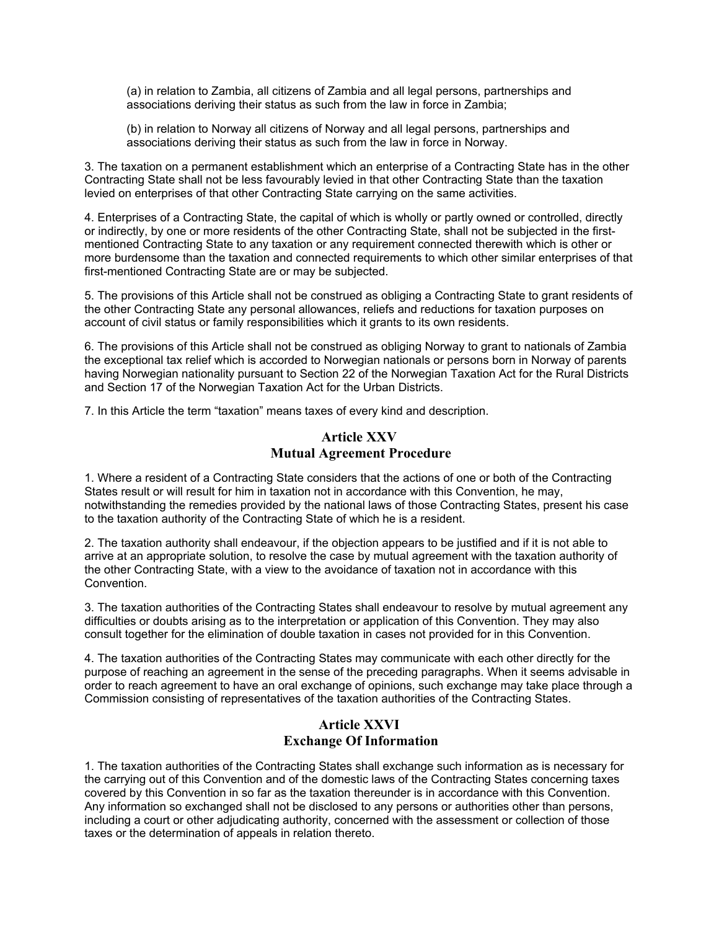(a) in relation to Zambia, all citizens of Zambia and all legal persons, partnerships and associations deriving their status as such from the law in force in Zambia;

(b) in relation to Norway all citizens of Norway and all legal persons, partnerships and associations deriving their status as such from the law in force in Norway.

3. The taxation on a permanent establishment which an enterprise of a Contracting State has in the other Contracting State shall not be less favourably levied in that other Contracting State than the taxation levied on enterprises of that other Contracting State carrying on the same activities.

4. Enterprises of a Contracting State, the capital of which is wholly or partly owned or controlled, directly or indirectly, by one or more residents of the other Contracting State, shall not be subjected in the firstmentioned Contracting State to any taxation or any requirement connected therewith which is other or more burdensome than the taxation and connected requirements to which other similar enterprises of that first-mentioned Contracting State are or may be subjected.

5. The provisions of this Article shall not be construed as obliging a Contracting State to grant residents of the other Contracting State any personal allowances, reliefs and reductions for taxation purposes on account of civil status or family responsibilities which it grants to its own residents.

6. The provisions of this Article shall not be construed as obliging Norway to grant to nationals of Zambia the exceptional tax relief which is accorded to Norwegian nationals or persons born in Norway of parents having Norwegian nationality pursuant to Section 22 of the Norwegian Taxation Act for the Rural Districts and Section 17 of the Norwegian Taxation Act for the Urban Districts.

7. In this Article the term "taxation" means taxes of every kind and description.

## **Article XXV Mutual Agreement Procedure**

1. Where a resident of a Contracting State considers that the actions of one or both of the Contracting States result or will result for him in taxation not in accordance with this Convention, he may, notwithstanding the remedies provided by the national laws of those Contracting States, present his case to the taxation authority of the Contracting State of which he is a resident.

2. The taxation authority shall endeavour, if the objection appears to be justified and if it is not able to arrive at an appropriate solution, to resolve the case by mutual agreement with the taxation authority of the other Contracting State, with a view to the avoidance of taxation not in accordance with this Convention.

3. The taxation authorities of the Contracting States shall endeavour to resolve by mutual agreement any difficulties or doubts arising as to the interpretation or application of this Convention. They may also consult together for the elimination of double taxation in cases not provided for in this Convention.

4. The taxation authorities of the Contracting States may communicate with each other directly for the purpose of reaching an agreement in the sense of the preceding paragraphs. When it seems advisable in order to reach agreement to have an oral exchange of opinions, such exchange may take place through a Commission consisting of representatives of the taxation authorities of the Contracting States.

## **Article XXVI Exchange Of Information**

1. The taxation authorities of the Contracting States shall exchange such information as is necessary for the carrying out of this Convention and of the domestic laws of the Contracting States concerning taxes covered by this Convention in so far as the taxation thereunder is in accordance with this Convention. Any information so exchanged shall not be disclosed to any persons or authorities other than persons, including a court or other adjudicating authority, concerned with the assessment or collection of those taxes or the determination of appeals in relation thereto.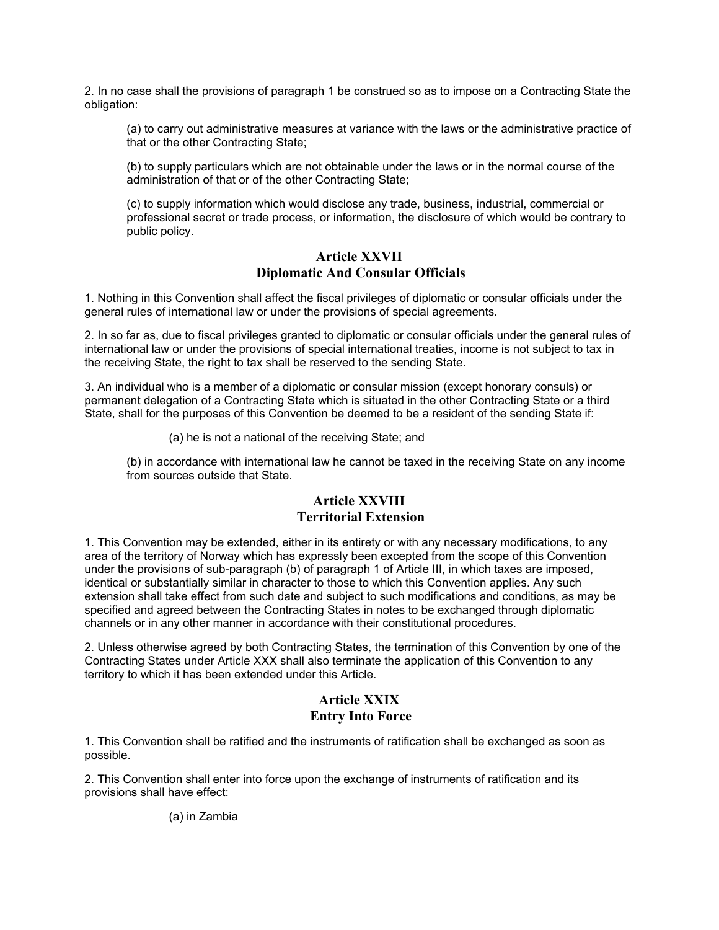2. In no case shall the provisions of paragraph 1 be construed so as to impose on a Contracting State the obligation:

(a) to carry out administrative measures at variance with the laws or the administrative practice of that or the other Contracting State;

(b) to supply particulars which are not obtainable under the laws or in the normal course of the administration of that or of the other Contracting State;

(c) to supply information which would disclose any trade, business, industrial, commercial or professional secret or trade process, or information, the disclosure of which would be contrary to public policy.

#### **Article XXVII Diplomatic And Consular Officials**

1. Nothing in this Convention shall affect the fiscal privileges of diplomatic or consular officials under the general rules of international law or under the provisions of special agreements.

2. In so far as, due to fiscal privileges granted to diplomatic or consular officials under the general rules of international law or under the provisions of special international treaties, income is not subject to tax in the receiving State, the right to tax shall be reserved to the sending State.

3. An individual who is a member of a diplomatic or consular mission (except honorary consuls) or permanent delegation of a Contracting State which is situated in the other Contracting State or a third State, shall for the purposes of this Convention be deemed to be a resident of the sending State if:

(a) he is not a national of the receiving State; and

(b) in accordance with international law he cannot be taxed in the receiving State on any income from sources outside that State.

### **Article XXVIII Territorial Extension**

1. This Convention may be extended, either in its entirety or with any necessary modifications, to any area of the territory of Norway which has expressly been excepted from the scope of this Convention under the provisions of sub-paragraph (b) of paragraph 1 of Article III, in which taxes are imposed, identical or substantially similar in character to those to which this Convention applies. Any such extension shall take effect from such date and subject to such modifications and conditions, as may be specified and agreed between the Contracting States in notes to be exchanged through diplomatic channels or in any other manner in accordance with their constitutional procedures.

2. Unless otherwise agreed by both Contracting States, the termination of this Convention by one of the Contracting States under Article XXX shall also terminate the application of this Convention to any territory to which it has been extended under this Article.

# **Article XXIX Entry Into Force**

1. This Convention shall be ratified and the instruments of ratification shall be exchanged as soon as possible.

2. This Convention shall enter into force upon the exchange of instruments of ratification and its provisions shall have effect:

(a) in Zambia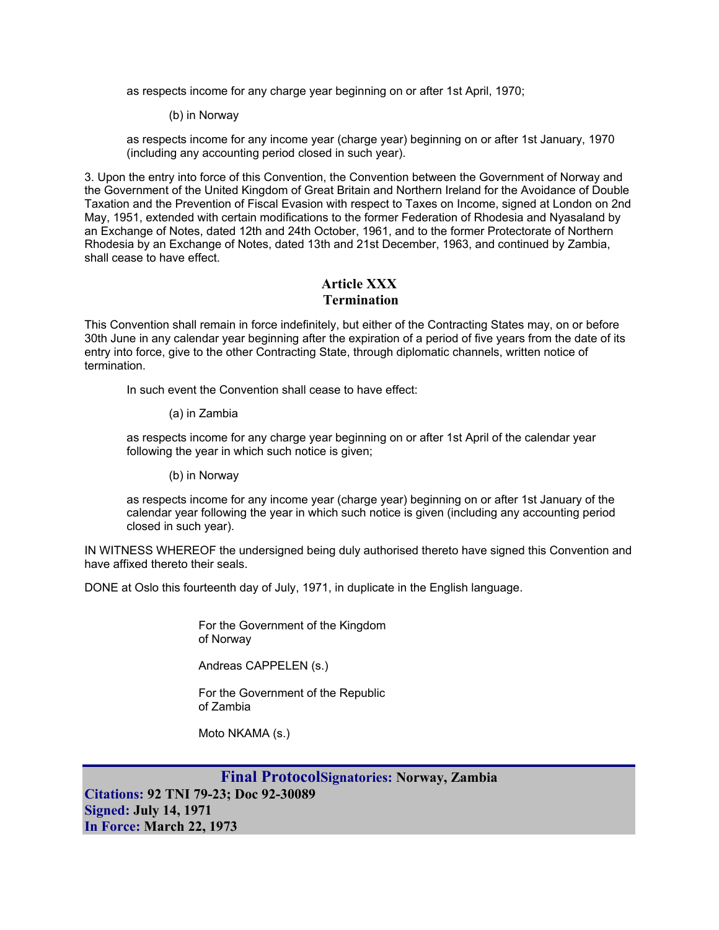as respects income for any charge year beginning on or after 1st April, 1970;

(b) in Norway

as respects income for any income year (charge year) beginning on or after 1st January, 1970 (including any accounting period closed in such year).

3. Upon the entry into force of this Convention, the Convention between the Government of Norway and the Government of the United Kingdom of Great Britain and Northern Ireland for the Avoidance of Double Taxation and the Prevention of Fiscal Evasion with respect to Taxes on Income, signed at London on 2nd May, 1951, extended with certain modifications to the former Federation of Rhodesia and Nyasaland by an Exchange of Notes, dated 12th and 24th October, 1961, and to the former Protectorate of Northern Rhodesia by an Exchange of Notes, dated 13th and 21st December, 1963, and continued by Zambia, shall cease to have effect.

## **Article XXX Termination**

This Convention shall remain in force indefinitely, but either of the Contracting States may, on or before 30th June in any calendar year beginning after the expiration of a period of five years from the date of its entry into force, give to the other Contracting State, through diplomatic channels, written notice of termination.

In such event the Convention shall cease to have effect:

(a) in Zambia

as respects income for any charge year beginning on or after 1st April of the calendar year following the year in which such notice is given;

(b) in Norway

as respects income for any income year (charge year) beginning on or after 1st January of the calendar year following the year in which such notice is given (including any accounting period closed in such year).

IN WITNESS WHEREOF the undersigned being duly authorised thereto have signed this Convention and have affixed thereto their seals.

DONE at Oslo this fourteenth day of July, 1971, in duplicate in the English language.

 For the Government of the Kingdom of Norway

Andreas CAPPELEN (s.)

 For the Government of the Republic of Zambia

Moto NKAMA (s.)